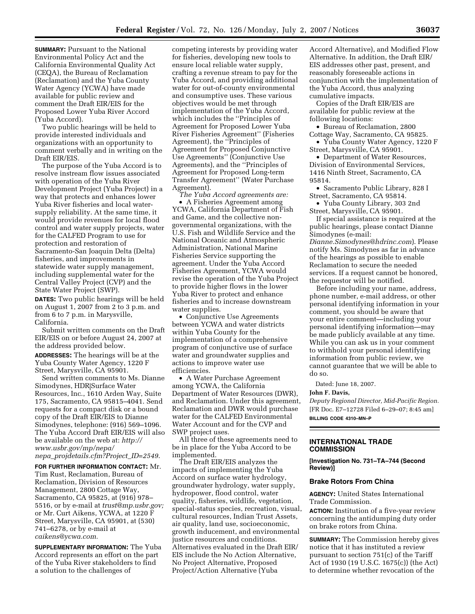**SUMMARY: Pursuant to the National** Environmental Policy Act and the California Environmental Quality Act (CEQA), the Bureau of Reclamation (Reclamation) and the Yuba County Water Agency (YCWA) have made available for public review and comment the Draft EIR/EIS for the Proposed Lower Yuba River Accord (Yuba Accord).

Two public hearings will be held to provide interested individuals and organizations with an opportunity to comment verbally and in writing on the Draft EIR/EIS.

The purpose of the Yuba Accord is to resolve instream flow issues associated with operation of the Yuba River Development Project (Yuba Project) in a way that protects and enhances lower Yuba River fisheries and local watersupply reliability. At the same time, it would provide revenues for local flood control and water supply projects, water for the CALFED Program to use for protection and restoration of Sacramento-San Joaquin Delta (Delta) fisheries, and improvements in statewide water supply management, including supplemental water for the Central Valley Project (CVP) and the State Water Project (SWP).

**DATES:** Two public hearings will be held on August 1, 2007 from 2 to 3 p.m. and from 6 to 7 p.m. in Marysville, California.

Submit written comments on the Draft EIR/EIS on or before August 24, 2007 at the address provided below.

**ADDRESSES:** The hearings will be at the Yuba County Water Agency, 1220 F Street, Marysville, CA 95901.

Send written comments to Ms. Dianne Simodynes, HDR|Surface Water Resources, Inc., 1610 Arden Way, Suite 175, Sacramento, CA 95815–4041. Send requests for a compact disk or a bound copy of the Draft EIR/EIS to Dianne Simodynes, telephone: (916) 569–1096. The Yuba Accord Draft EIR/EIS will also be available on the web at: *http:// www.usbr.gov/mp/nepa/ nepa*\_*projdetails.cfm?Project*\_*ID=2549*.

**FOR FURTHER INFORMATION CONTACT:** Mr. Tim Rust, Reclamation, Bureau of Reclamation, Division of Resources Management, 2800 Cottage Way, Sacramento, CA 95825, at (916) 978– 5516, or by e-mail at *trust@mp.usbr.gov;*  or Mr. Curt Aikens, YCWA, at 1220 F Street, Marysville, CA 95901, at (530) 741–6278, or by e-mail at *caikens@ycwa.com.* 

**SUPPLEMENTARY INFORMATION:** The Yuba Accord represents an effort on the part of the Yuba River stakeholders to find a solution to the challenges of

competing interests by providing water for fisheries, developing new tools to ensure local reliable water supply, crafting a revenue stream to pay for the Yuba Accord, and providing additional water for out-of-county environmental and consumptive uses. These various objectives would be met through implementation of the Yuba Accord, which includes the ''Principles of Agreement for Proposed Lower Yuba River Fisheries Agreement'' (Fisheries Agreement), the ''Principles of Agreement for Proposed Conjunctive Use Agreements'' (Conjunctive Use Agreements), and the ''Principles of Agreement for Proposed Long-term Transfer Agreement'' (Water Purchase Agreement).

*The Yuba Accord agreements are:*  • A Fisheries Agreement among YCWA, California Department of Fish and Game, and the collective nongovernmental organizations, with the U.S. Fish and Wildlife Service and the National Oceanic and Atmospheric Administration, National Marine Fisheries Service supporting the agreement. Under the Yuba Accord Fisheries Agreement, YCWA would revise the operation of the Yuba Project to provide higher flows in the lower Yuba River to protect and enhance fisheries and to increase downstream water supplies.

• Conjunctive Use Agreements between YCWA and water districts within Yuba County for the implementation of a comprehensive program of conjunctive use of surface water and groundwater supplies and actions to improve water use efficiencies.

• A Water Purchase Agreement among YCWA, the California Department of Water Resources (DWR), and Reclamation. Under this agreement, Reclamation and DWR would purchase water for the CALFED Environmental Water Account and for the CVP and SWP project uses.

All three of these agreements need to be in place for the Yuba Accord to be implemented.

The Draft EIR/EIS analyzes the impacts of implementing the Yuba Accord on surface water hydrology, groundwater hydrology, water supply, hydropower, flood control, water quality, fisheries, wildlife, vegetation, special-status species, recreation, visual, cultural resources, Indian Trust Assets, air quality, land use, socioeconomic, growth inducement, and environmental justice resources and conditions. Alternatives evaluated in the Draft EIR/ EIS include the No Action Alternative, No Project Alternative, Proposed Project/Action Alternative (Yuba

Accord Alternative), and Modified Flow Alternative. In addition, the Draft EIR/ EIS addresses other past, present, and reasonably foreseeable actions in conjunction with the implementation of the Yuba Accord, thus analyzing cumulative impacts.

Copies of the Draft EIR/EIS are available for public review at the following locations:

• Bureau of Reclamation, 2800 Cottage Way, Sacramento, CA 95825.

• Yuba County Water Agency, 1220 F Street, Marysville, CA 95901.

• Department of Water Resources, Division of Environmental Services, 1416 Ninth Street, Sacramento, CA 95814.

• Sacramento Public Library, 828 I Street, Sacramento, CA 95814.

• Yuba County Library, 303 2nd Street, Marysville, CA 95901.

If special assistance is required at the public hearings, please contact Dianne Simodynes (e-mail:

*Dianne.Simodynes@hdrinc.com*). Please notify Ms. Simodynes as far in advance of the hearings as possible to enable Reclamation to secure the needed services. If a request cannot be honored, the requestor will be notified.

Before including your name, address, phone number, e-mail address, or other personal identifying information in your comment, you should be aware that your entire comment—including your personal identifying information—may be made publicly available at any time. While you can ask us in your comment to withhold your personal identifying information from public review, we cannot guarantee that we will be able to do so.

Dated: June 18, 2007.

### **John F. Davis,**

*Deputy Regional Director, Mid-Pacific Region.*  [FR Doc. E7–12728 Filed 6–29–07; 8:45 am] **BILLING CODE 4310–MN–P** 

# **INTERNATIONAL TRADE COMMISSION**

**[Investigation No. 731–TA–744 (Second Review)]** 

# **Brake Rotors From China**

**AGENCY:** United States International Trade Commission.

**ACTION:** Institution of a five-year review concerning the antidumping duty order on brake rotors from China.

**SUMMARY:** The Commission hereby gives notice that it has instituted a review pursuant to section 751(c) of the Tariff Act of 1930 (19 U.S.C. 1675(c)) (the Act) to determine whether revocation of the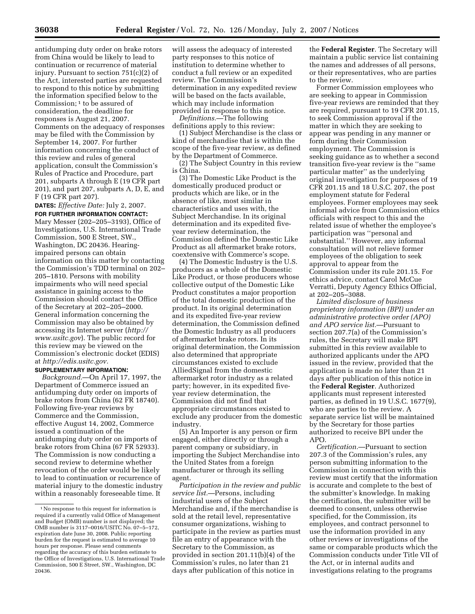antidumping duty order on brake rotors from China would be likely to lead to continuation or recurrence of material injury. Pursuant to section 751(c)(2) of the Act, interested parties are requested to respond to this notice by submitting the information specified below to the Commission; 1 to be assured of consideration, the deadline for responses is August 21, 2007. Comments on the adequacy of responses may be filed with the Commission by September 14, 2007. For further information concerning the conduct of this review and rules of general application, consult the Commission's Rules of Practice and Procedure, part 201, subparts A through E (19 CFR part 201), and part 207, subparts A, D, E, and F (19 CFR part 207).

**DATES:** *Effective Date:* July 2, 2007.

**FOR FURTHER INFORMATION CONTACT:**  Mary Messer (202–205–3193), Office of Investigations, U.S. International Trade Commission, 500 E Street, SW., Washington, DC 20436. Hearingimpaired persons can obtain information on this matter by contacting the Commission's TDD terminal on 202– 205–1810. Persons with mobility impairments who will need special assistance in gaining access to the Commission should contact the Office of the Secretary at 202–205–2000. General information concerning the Commission may also be obtained by accessing its Internet server (*http:// www.usitc.gov*). The public record for this review may be viewed on the Commission's electronic docket (EDIS) at *http://edis.usitc.gov.* 

## **SUPPLEMENTARY INFORMATION:**

*Background.*—On April 17, 1997, the Department of Commerce issued an antidumping duty order on imports of brake rotors from China (62 FR 18740). Following five-year reviews by Commerce and the Commission, effective August 14, 2002, Commerce issued a continuation of the antidumping duty order on imports of brake rotors from China (67 FR 52933). The Commission is now conducting a second review to determine whether revocation of the order would be likely to lead to continuation or recurrence of material injury to the domestic industry within a reasonably foreseeable time. It

will assess the adequacy of interested party responses to this notice of institution to determine whether to conduct a full review or an expedited review. The Commission's determination in any expedited review will be based on the facts available, which may include information provided in response to this notice.

*Definitions.*—The following definitions apply to this review:

(1) Subject Merchandise is the class or kind of merchandise that is within the scope of the five-year review, as defined by the Department of Commerce.

(2) The Subject Country in this review is China.

(3) The Domestic Like Product is the domestically produced product or products which are like, or in the absence of like, most similar in characteristics and uses with, the Subject Merchandise. In its original determination and its expedited fiveyear review determination, the Commission defined the Domestic Like Product as all aftermarket brake rotors, coextensive with Commerce's scope.

(4) The Domestic Industry is the U.S. producers as a whole of the Domestic Like Product, or those producers whose collective output of the Domestic Like Product constitutes a major proportion of the total domestic production of the product. In its original determination and its expedited five-year review determination, the Commission defined the Domestic Industry as all producers of aftermarket brake rotors. In its original determination, the Commission also determined that appropriate circumstances existed to exclude AlliedSignal from the domestic aftermarket rotor industry as a related party; however, in its expedited fiveyear review determination, the Commission did not find that appropriate circumstances existed to exclude any producer from the domestic industry.

(5) An Importer is any person or firm engaged, either directly or through a parent company or subsidiary, in importing the Subject Merchandise into the United States from a foreign manufacturer or through its selling agent.

*Participation in the review and public service list.*—Persons, including industrial users of the Subject Merchandise and, if the merchandise is sold at the retail level, representative consumer organizations, wishing to participate in the review as parties must file an entry of appearance with the Secretary to the Commission, as provided in section 201.11(b)(4) of the Commission's rules, no later than 21 days after publication of this notice in

the **Federal Register**. The Secretary will maintain a public service list containing the names and addresses of all persons, or their representatives, who are parties to the review.

Former Commission employees who are seeking to appear in Commission five-year reviews are reminded that they are required, pursuant to 19 CFR 201.15, to seek Commission approval if the matter in which they are seeking to appear was pending in any manner or form during their Commission employment. The Commission is seeking guidance as to whether a second transition five-year review is the ''same particular matter'' as the underlying original investigation for purposes of 19 CFR 201.15 and 18 U.S.C. 207, the post employment statute for Federal employees. Former employees may seek informal advice from Commission ethics officials with respect to this and the related issue of whether the employee's participation was ''personal and substantial.'' However, any informal consultation will not relieve former employees of the obligation to seek approval to appear from the Commission under its rule 201.15. For ethics advice, contact Carol McCue Verratti, Deputy Agency Ethics Official, at 202–205–3088.

*Limited disclosure of business proprietary information (BPI) under an administrative protective order (APO) and APO service list.*—Pursuant to section 207.7(a) of the Commission's rules, the Secretary will make BPI submitted in this review available to authorized applicants under the APO issued in the review, provided that the application is made no later than 21 days after publication of this notice in the **Federal Register**. Authorized applicants must represent interested parties, as defined in 19 U.S.C. 1677(9), who are parties to the review. A separate service list will be maintained by the Secretary for those parties authorized to receive BPI under the APO.

*Certification.*—Pursuant to section 207.3 of the Commission's rules, any person submitting information to the Commission in connection with this review must certify that the information is accurate and complete to the best of the submitter's knowledge. In making the certification, the submitter will be deemed to consent, unless otherwise specified, for the Commission, its employees, and contract personnel to use the information provided in any other reviews or investigations of the same or comparable products which the Commission conducts under Title VII of the Act, or in internal audits and investigations relating to the programs

<sup>1</sup>No response to this request for information is required if a currently valid Office of Management and Budget (OMB) number is not displayed; the OMB number is 3117–0016/USITC No. 07–5–172, expiration date June 30, 2008. Public reporting burden for the request is estimated to average 10 hours per response. Please send comments regarding the accuracy of this burden estimate to the Office of Investigations, U.S. International Trade Commission, 500 E Street, SW., Washington, DC 20436.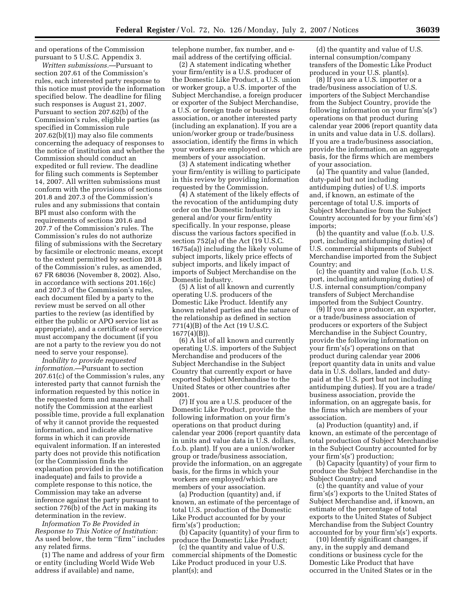and operations of the Commission pursuant to 5 U.S.C. Appendix 3.

*Written submissions.*—Pursuant to section 207.61 of the Commission's rules, each interested party response to this notice must provide the information specified below. The deadline for filing such responses is August 21, 2007. Pursuant to section 207.62(b) of the Commission's rules, eligible parties (as specified in Commission rule 207.62(b)(1)) may also file comments concerning the adequacy of responses to the notice of institution and whether the Commission should conduct an expedited or full review. The deadline for filing such comments is September 14, 2007. All written submissions must conform with the provisions of sections 201.8 and 207.3 of the Commission's rules and any submissions that contain BPI must also conform with the requirements of sections 201.6 and 207.7 of the Commission's rules. The Commission's rules do not authorize filing of submissions with the Secretary by facsimile or electronic means, except to the extent permitted by section 201.8 of the Commission's rules, as amended, 67 FR 68036 (November 8, 2002). Also, in accordance with sections 201.16(c) and 207.3 of the Commission's rules, each document filed by a party to the review must be served on all other parties to the review (as identified by either the public or APO service list as appropriate), and a certificate of service must accompany the document (if you are not a party to the review you do not need to serve your response).

*Inability to provide requested information.*—Pursuant to section 207.61(c) of the Commission's rules, any interested party that cannot furnish the information requested by this notice in the requested form and manner shall notify the Commission at the earliest possible time, provide a full explanation of why it cannot provide the requested information, and indicate alternative forms in which it can provide equivalent information. If an interested party does not provide this notification (or the Commission finds the explanation provided in the notification inadequate) and fails to provide a complete response to this notice, the Commission may take an adverse inference against the party pursuant to section 776(b) of the Act in making its determination in the review.

*Information To Be Provided in Response to This Notice of Institution:*  As used below, the term ''firm'' includes any related firms.

(1) The name and address of your firm or entity (including World Wide Web address if available) and name,

telephone number, fax number, and email address of the certifying official.

(2) A statement indicating whether your firm/entity is a U.S. producer of the Domestic Like Product, a U.S. union or worker group, a U.S. importer of the Subject Merchandise, a foreign producer or exporter of the Subject Merchandise, a U.S. or foreign trade or business association, or another interested party (including an explanation). If you are a union/worker group or trade/business association, identify the firms in which your workers are employed or which are members of your association.

(3) A statement indicating whether your firm/entity is willing to participate in this review by providing information requested by the Commission.

(4) A statement of the likely effects of the revocation of the antidumping duty order on the Domestic Industry in general and/or your firm/entity specifically. In your response, please discuss the various factors specified in section 752(a) of the Act (19 U.S.C. 1675a(a)) including the likely volume of subject imports, likely price effects of subject imports, and likely impact of imports of Subject Merchandise on the Domestic Industry.

(5) A list of all known and currently operating U.S. producers of the Domestic Like Product. Identify any known related parties and the nature of the relationship as defined in section 771(4)(B) of the Act (19 U.S.C. 1677(4)(B)).

(6) A list of all known and currently operating U.S. importers of the Subject Merchandise and producers of the Subject Merchandise in the Subject Country that currently export or have exported Subject Merchandise to the United States or other countries after 2001.

(7) If you are a U.S. producer of the Domestic Like Product, provide the following information on your firm's operations on that product during calendar year 2006 (report quantity data in units and value data in U.S. dollars, f.o.b. plant). If you are a union/worker group or trade/business association, provide the information, on an aggregate basis, for the firms in which your workers are employed/which are members of your association.

(a) Production (quantity) and, if known, an estimate of the percentage of total U.S. production of the Domestic Like Product accounted for by your firm's(s') production;

(b) Capacity (quantity) of your firm to produce the Domestic Like Product;

(c) the quantity and value of U.S. commercial shipments of the Domestic Like Product produced in your U.S. plant(s); and

(d) the quantity and value of U.S. internal consumption/company transfers of the Domestic Like Product produced in your U.S. plant(s).

(8) If you are a U.S. importer or a trade/business association of U.S. importers of the Subject Merchandise from the Subject Country, provide the following information on your firm's(s') operations on that product during calendar year 2006 (report quantity data in units and value data in U.S. dollars). If you are a trade/business association, provide the information, on an aggregate basis, for the firms which are members of your association.

(a) The quantity and value (landed, duty-paid but not including antidumping duties) of U.S. imports and, if known, an estimate of the percentage of total U.S. imports of Subject Merchandise from the Subject Country accounted for by your firm's(s') imports;

(b) the quantity and value (f.o.b. U.S. port, including antidumping duties) of U.S. commercial shipments of Subject Merchandise imported from the Subject Country; and

(c) the quantity and value (f.o.b. U.S. port, including antidumping duties) of U.S. internal consumption/company transfers of Subject Merchandise imported from the Subject Country.

(9) If you are a producer, an exporter, or a trade/business association of producers or exporters of the Subject Merchandise in the Subject Country, provide the following information on your firm's(s') operations on that product during calendar year 2006 (report quantity data in units and value data in U.S. dollars, landed and dutypaid at the U.S. port but not including antidumping duties). If you are a trade/ business association, provide the information, on an aggregate basis, for the firms which are members of your association.

(a) Production (quantity) and, if known, an estimate of the percentage of total production of Subject Merchandise in the Subject Country accounted for by your firm's(s') production;

(b) Capacity (quantity) of your firm to produce the Subject Merchandise in the Subject Country; and

(c) the quantity and value of your firm's(s') exports to the United States of Subject Merchandise and, if known, an estimate of the percentage of total exports to the United States of Subject Merchandise from the Subject Country accounted for by your firm's(s') exports.

(10) Identify significant changes, if any, in the supply and demand conditions or business cycle for the Domestic Like Product that have occurred in the United States or in the